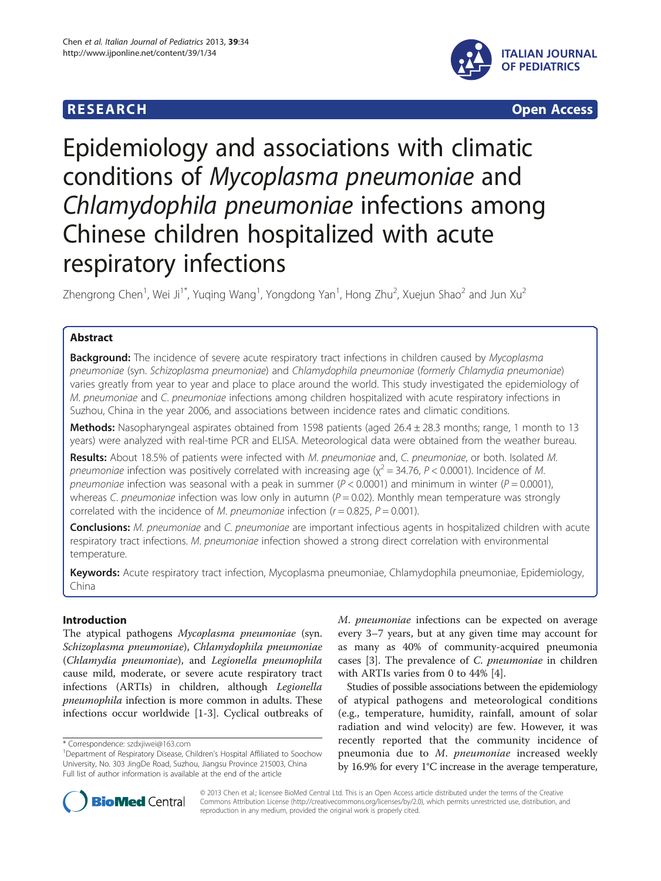# **RESEARCH CHINESEARCH CHINESEARCH CHINESE**



# Epidemiology and associations with climatic conditions of Mycoplasma pneumoniae and Chlamydophila pneumoniae infections among Chinese children hospitalized with acute respiratory infections

Zhengrong Chen<sup>1</sup>, Wei Ji<sup>1\*</sup>, Yuqing Wang<sup>1</sup>, Yongdong Yan<sup>1</sup>, Hong Zhu<sup>2</sup>, Xuejun Shao<sup>2</sup> and Jun Xu<sup>2</sup>

# Abstract

**Background:** The incidence of severe acute respiratory tract infections in children caused by Mycoplasma pneumoniae (syn. Schizoplasma pneumoniae) and Chlamydophila pneumoniae (formerly Chlamydia pneumoniae) varies greatly from year to year and place to place around the world. This study investigated the epidemiology of M. pneumoniae and C. pneumoniae infections among children hospitalized with acute respiratory infections in Suzhou, China in the year 2006, and associations between incidence rates and climatic conditions.

Methods: Nasopharyngeal aspirates obtained from 1598 patients (aged 26.4 ± 28.3 months; range, 1 month to 13 years) were analyzed with real-time PCR and ELISA. Meteorological data were obtained from the weather bureau.

Results: About 18.5% of patients were infected with M. pneumoniae and, C. pneumoniae, or both. Isolated M. pneumoniae infection was positively correlated with increasing age ( $\chi^2$  = 34.76, P < 0.0001). Incidence of M. pneumoniae infection was seasonal with a peak in summer ( $P < 0.0001$ ) and minimum in winter ( $P = 0.0001$ ), whereas C. pneumoniae infection was low only in autumn ( $P = 0.02$ ). Monthly mean temperature was strongly correlated with the incidence of M. pneumoniae infection ( $r = 0.825$ ,  $P = 0.001$ ).

Conclusions: M. pneumoniae and C. pneumoniae are important infectious agents in hospitalized children with acute respiratory tract infections. M. pneumoniae infection showed a strong direct correlation with environmental temperature.

Keywords: Acute respiratory tract infection, Mycoplasma pneumoniae, Chlamydophila pneumoniae, Epidemiology, China

# Introduction

The atypical pathogens Mycoplasma pneumoniae (syn. Schizoplasma pneumoniae), Chlamydophila pneumoniae (Chlamydia pneumoniae), and Legionella pneumophila cause mild, moderate, or severe acute respiratory tract infections (ARTIs) in children, although Legionella pneumophila infection is more common in adults. These infections occur worldwide [[1](#page-6-0)-[3\]](#page-6-0). Cyclical outbreaks of M. pneumoniae infections can be expected on average every 3–7 years, but at any given time may account for as many as 40% of community-acquired pneumonia cases [[3\]](#page-6-0). The prevalence of C. pneumoniae in children with ARTIs varies from 0 to 44% [[4\]](#page-6-0).

Studies of possible associations between the epidemiology of atypical pathogens and meteorological conditions (e.g., temperature, humidity, rainfall, amount of solar radiation and wind velocity) are few. However, it was recently reported that the community incidence of pneumonia due to M. pneumoniae increased weekly by 16.9% for every 1°C increase in the average temperature,



© 2013 Chen et al.; licensee BioMed Central Ltd. This is an Open Access article distributed under the terms of the Creative Commons Attribution License [\(http://creativecommons.org/licenses/by/2.0\)](http://creativecommons.org/licenses/by/2.0), which permits unrestricted use, distribution, and reproduction in any medium, provided the original work is properly cited.

<sup>\*</sup> Correspondence: [szdxjiwei@163.com](mailto:szdxjiwei@163.com) <sup>1</sup>

<sup>&</sup>lt;sup>1</sup>Department of Respiratory Disease, Children's Hospital Affiliated to Soochow University, No. 303 JingDe Road, Suzhou, Jiangsu Province 215003, China Full list of author information is available at the end of the article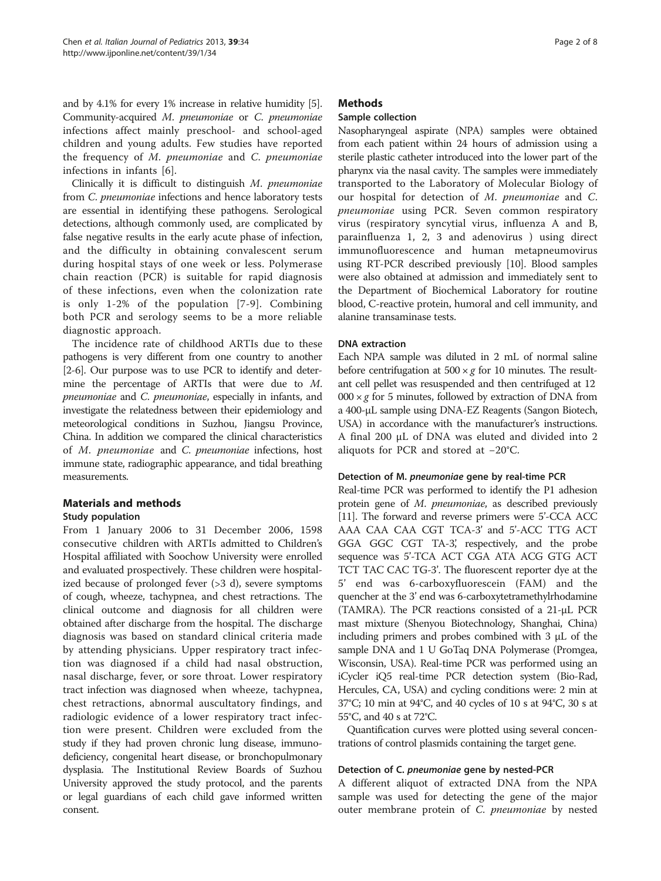and by 4.1% for every 1% increase in relative humidity [[5](#page-6-0)]. Community-acquired M. pneumoniae or C. pneumoniae infections affect mainly preschool- and school-aged children and young adults. Few studies have reported the frequency of M. pneumoniae and C. pneumoniae infections in infants [[6\]](#page-6-0).

Clinically it is difficult to distinguish M. pneumoniae from C. pneumoniae infections and hence laboratory tests are essential in identifying these pathogens. Serological detections, although commonly used, are complicated by false negative results in the early acute phase of infection, and the difficulty in obtaining convalescent serum during hospital stays of one week or less. Polymerase chain reaction (PCR) is suitable for rapid diagnosis of these infections, even when the colonization rate is only 1-2% of the population [[7-9\]](#page-6-0). Combining both PCR and serology seems to be a more reliable diagnostic approach.

The incidence rate of childhood ARTIs due to these pathogens is very different from one country to another [[2](#page-6-0)-[6\]](#page-6-0). Our purpose was to use PCR to identify and determine the percentage of ARTIs that were due to M. pneumoniae and C. pneumoniae, especially in infants, and investigate the relatedness between their epidemiology and meteorological conditions in Suzhou, Jiangsu Province, China. In addition we compared the clinical characteristics of M. pneumoniae and C. pneumoniae infections, host immune state, radiographic appearance, and tidal breathing measurements.

# Materials and methods

# Study population

From 1 January 2006 to 31 December 2006, 1598 consecutive children with ARTIs admitted to Children's Hospital affiliated with Soochow University were enrolled and evaluated prospectively. These children were hospitalized because of prolonged fever (>3 d), severe symptoms of cough, wheeze, tachypnea, and chest retractions. The clinical outcome and diagnosis for all children were obtained after discharge from the hospital. The discharge diagnosis was based on standard clinical criteria made by attending physicians. Upper respiratory tract infection was diagnosed if a child had nasal obstruction, nasal discharge, fever, or sore throat. Lower respiratory tract infection was diagnosed when wheeze, tachypnea, chest retractions, abnormal auscultatory findings, and radiologic evidence of a lower respiratory tract infection were present. Children were excluded from the study if they had proven chronic lung disease, immunodeficiency, congenital heart disease, or bronchopulmonary dysplasia. The Institutional Review Boards of Suzhou University approved the study protocol, and the parents or legal guardians of each child gave informed written consent.

# **Methods**

# Sample collection

Nasopharyngeal aspirate (NPA) samples were obtained from each patient within 24 hours of admission using a sterile plastic catheter introduced into the lower part of the pharynx via the nasal cavity. The samples were immediately transported to the Laboratory of Molecular Biology of our hospital for detection of M. pneumoniae and C. pneumoniae using PCR. Seven common respiratory virus (respiratory syncytial virus, influenza A and B, parainfluenza 1, 2, 3 and adenovirus ) using direct immunofluorescence and human metapneumovirus using RT-PCR described previously [\[10](#page-6-0)]. Blood samples were also obtained at admission and immediately sent to the Department of Biochemical Laboratory for routine blood, C-reactive protein, humoral and cell immunity, and alanine transaminase tests.

# DNA extraction

Each NPA sample was diluted in 2 mL of normal saline before centrifugation at  $500 \times g$  for 10 minutes. The resultant cell pellet was resuspended and then centrifuged at 12  $000 \times g$  for 5 minutes, followed by extraction of DNA from a 400-μL sample using DNA-EZ Reagents (Sangon Biotech, USA) in accordance with the manufacturer's instructions. A final 200 μL of DNA was eluted and divided into 2 aliquots for PCR and stored at −20°C.

## Detection of M. pneumoniae gene by real-time PCR

Real-time PCR was performed to identify the P1 adhesion protein gene of M. pneumoniae, as described previously [[11](#page-6-0)]. The forward and reverse primers were 5'-CCA ACC AAA CAA CAA CGT TCA-3' and 5'-ACC TTG ACT GGA GGC CGT TA-3', respectively, and the probe sequence was 5'-TCA ACT CGA ATA ACG GTG ACT TCT TAC CAC TG-3'. The fluorescent reporter dye at the 5' end was 6-carboxyfluorescein (FAM) and the quencher at the 3' end was 6-carboxytetramethylrhodamine (TAMRA). The PCR reactions consisted of a 21-μL PCR mast mixture (Shenyou Biotechnology, Shanghai, China) including primers and probes combined with 3 μL of the sample DNA and 1 U GoTaq DNA Polymerase (Promgea, Wisconsin, USA). Real-time PCR was performed using an iCycler iQ5 real-time PCR detection system (Bio-Rad, Hercules, CA, USA) and cycling conditions were: 2 min at 37°C; 10 min at 94°C, and 40 cycles of 10 s at 94°C, 30 s at 55°C, and 40 s at 72°C.

Quantification curves were plotted using several concentrations of control plasmids containing the target gene.

# Detection of C. pneumoniae gene by nested-PCR

A different aliquot of extracted DNA from the NPA sample was used for detecting the gene of the major outer membrane protein of C. pneumoniae by nested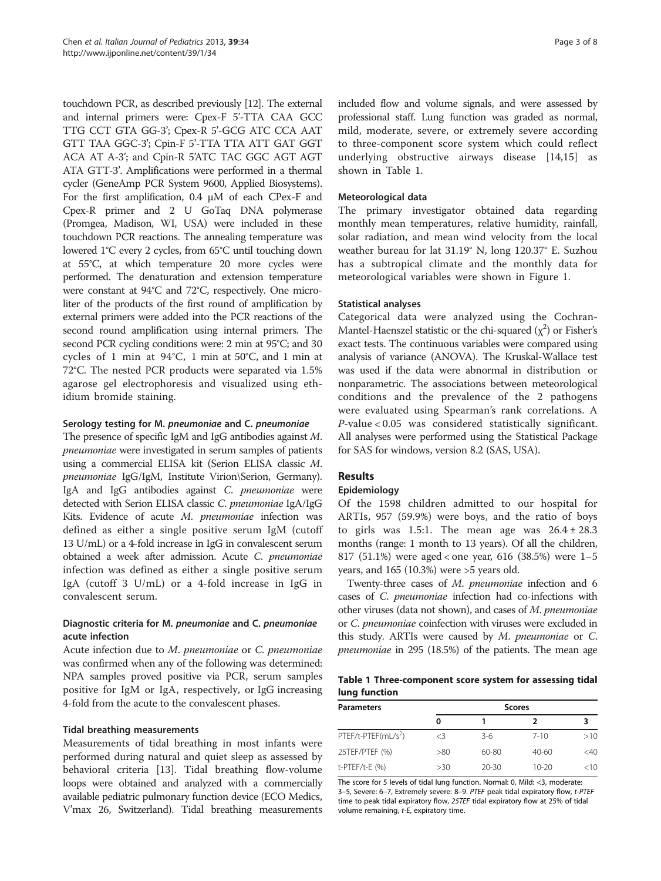touchdown PCR, as described previously [\[12\]](#page-6-0). The external and internal primers were: Cpex-F 5'-TTA CAA GCC TTG CCT GTA GG-3'; Cpex-R 5'-GCG ATC CCA AAT GTT TAA GGC-3'; Cpin-F 5'-TTA TTA ATT GAT GGT ACA AT A-3'; and Cpin-R 5'ATC TAC GGC AGT AGT ATA GTT-3'. Amplifications were performed in a thermal cycler (GeneAmp PCR System 9600, Applied Biosystems). For the first amplification, 0.4 μM of each CPex-F and Cpex-R primer and 2 U GoTaq DNA polymerase (Promgea, Madison, WI, USA) were included in these touchdown PCR reactions. The annealing temperature was lowered 1°C every 2 cycles, from 65°C until touching down at 55°C, at which temperature 20 more cycles were performed. The denaturation and extension temperature were constant at 94°C and 72°C, respectively. One microliter of the products of the first round of amplification by external primers were added into the PCR reactions of the second round amplification using internal primers. The second PCR cycling conditions were: 2 min at 95°C; and 30 cycles of 1 min at 94°C, 1 min at 50°C, and 1 min at 72°C. The nested PCR products were separated via 1.5% agarose gel electrophoresis and visualized using ethidium bromide staining.

# Serology testing for M. pneumoniae and C. pneumoniae

The presence of specific IgM and IgG antibodies against M. pneumoniae were investigated in serum samples of patients using a commercial ELISA kit (Serion ELISA classic M. pneumoniae IgG/IgM, Institute Virion\Serion, Germany). IgA and IgG antibodies against C. pneumoniae were detected with Serion ELISA classic C. pneumoniae IgA/IgG Kits. Evidence of acute M. pneumoniae infection was defined as either a single positive serum IgM (cutoff 13 U/mL) or a 4-fold increase in IgG in convalescent serum obtained a week after admission. Acute C. pneumoniae infection was defined as either a single positive serum IgA (cutoff 3 U/mL) or a 4-fold increase in IgG in convalescent serum.

# Diagnostic criteria for M. pneumoniae and C. pneumoniae acute infection

Acute infection due to M. pneumoniae or C. pneumoniae was confirmed when any of the following was determined: NPA samples proved positive via PCR, serum samples positive for IgM or IgA, respectively, or IgG increasing 4-fold from the acute to the convalescent phases.

#### Tidal breathing measurements

Measurements of tidal breathing in most infants were performed during natural and quiet sleep as assessed by behavioral criteria [\[13\]](#page-6-0). Tidal breathing flow-volume loops were obtained and analyzed with a commercially available pediatric pulmonary function device (ECO Medics, V'max 26, Switzerland). Tidal breathing measurements included flow and volume signals, and were assessed by professional staff. Lung function was graded as normal, mild, moderate, severe, or extremely severe according to three-component score system which could reflect underlying obstructive airways disease [\[14,15\]](#page-6-0) as shown in Table 1.

# Meteorological data

The primary investigator obtained data regarding monthly mean temperatures, relative humidity, rainfall, solar radiation, and mean wind velocity from the local weather bureau for lat 31.19° N, long 120.37° E. Suzhou has a subtropical climate and the monthly data for meteorological variables were shown in Figure [1](#page-3-0).

# Statistical analyses

Categorical data were analyzed using the Cochran-Mantel-Haenszel statistic or the chi-squared  $(\chi^2)$  or Fisher's exact tests. The continuous variables were compared using analysis of variance (ANOVA). The Kruskal-Wallace test was used if the data were abnormal in distribution or nonparametric. The associations between meteorological conditions and the prevalence of the 2 pathogens were evaluated using Spearman's rank correlations. A P-value < 0.05 was considered statistically significant. All analyses were performed using the Statistical Package for SAS for windows, version 8.2 (SAS, USA).

# Results

#### Epidemiology

Of the 1598 children admitted to our hospital for ARTIs, 957 (59.9%) were boys, and the ratio of boys to girls was 1.5:1. The mean age was  $26.4 \pm 28.3$ months (range: 1 month to 13 years). Of all the children, 817 (51.1%) were aged < one year, 616 (38.5%) were 1–5 years, and 165 (10.3%) were >5 years old.

Twenty-three cases of M. pneumoniae infection and 6 cases of C. pneumoniae infection had co-infections with other viruses (data not shown), and cases of M. pneumoniae or C. pneumoniae coinfection with viruses were excluded in this study. ARTIs were caused by  $M$ . pneumoniae or  $C$ . pneumoniae in 295 (18.5%) of the patients. The mean age

Table 1 Three-component score system for assessing tidal lung function

| <b>Parameters</b>       | <b>Scores</b> |           |           |        |
|-------------------------|---------------|-----------|-----------|--------|
|                         | 0             |           | 2         |        |
| $PTEF/t-PTEF(mL/s2)$    | $\leq$ 3      | $3-6$     | $7 - 10$  | >10    |
| 25TEF/PTEF (%)          | >80           | $60 - 80$ | $40 - 60$ | $<$ 40 |
| $t$ -PTEF/ $t$ -E $(%)$ | >30           | $20 - 30$ | $10 - 20$ | <10    |

The score for 5 levels of tidal lung function. Normal: 0, Mild: <3, moderate: 3–5, Severe: 6–7, Extremely severe: 8–9. PTEF peak tidal expiratory flow, t-PTEF time to peak tidal expiratory flow, 25TEF tidal expiratory flow at 25% of tidal volume remaining, t-E, expiratory time.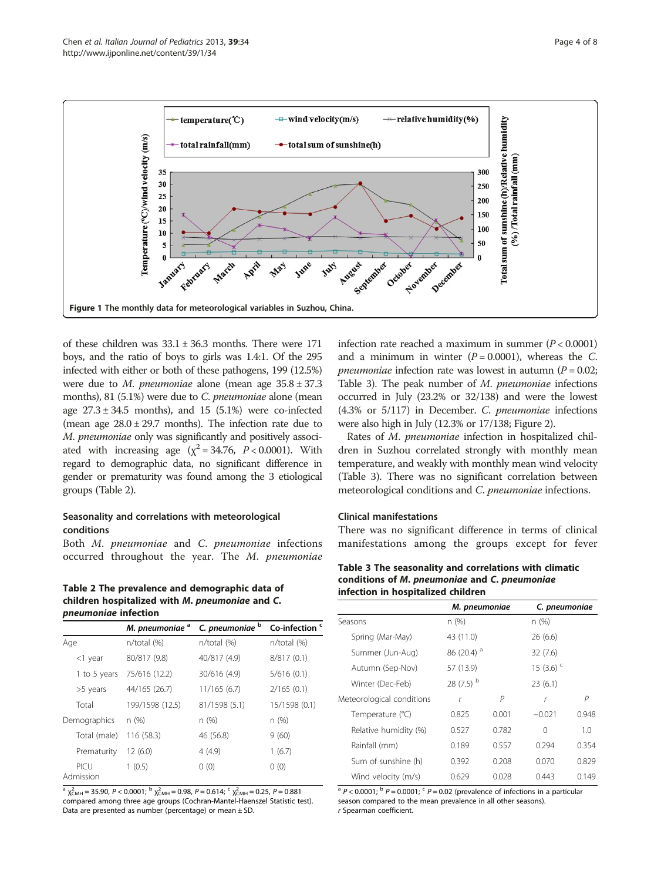<span id="page-3-0"></span>

of these children was  $33.1 \pm 36.3$  months. There were 171 boys, and the ratio of boys to girls was 1.4:1. Of the 295 infected with either or both of these pathogens, 199 (12.5%) were due to *M. pneumoniae* alone (mean age  $35.8 \pm 37.3$ months), 81 (5.1%) were due to C. pneumoniae alone (mean age  $27.3 \pm 34.5$  months), and 15 (5.1%) were co-infected (mean age  $28.0 \pm 29.7$  months). The infection rate due to M. pneumoniae only was significantly and positively associated with increasing age  $(\chi^2 = 34.76, P < 0.0001)$ . With regard to demographic data, no significant difference in gender or prematurity was found among the 3 etiological groups (Table 2).

# Seasonality and correlations with meteorological conditions

Both M. pneumoniae and C. pneumoniae infections occurred throughout the year. The M. pneumoniae

Table 2 The prevalence and demographic data of children hospitalized with M. pneumoniae and C. pneumoniae infection

|                   | M. pneumoniae <sup>a</sup> | C. pneumoniae b | Co-infection <sup>c</sup> |
|-------------------|----------------------------|-----------------|---------------------------|
| Age               | n/total (%)                | n/total (%)     | $n/total$ (%)             |
| $<$ 1 year        | 80/817 (9.8)               | 40/817 (4.9)    | 8/817(0.1)                |
| 1 to 5 years      | 75/616 (12.2)              | 30/616 (4.9)    | 5/616(0.1)                |
| >5 years          | 44/165 (26.7)              | 11/165(6.7)     | 2/165(0.1)                |
| Total             | 199/1598 (12.5)            | 81/1598 (5.1)   | 15/1598 (0.1)             |
| Demographics      | n(%)                       | n(%)            | n(%)                      |
| Total (male)      | 116 (58.3)                 | 46 (56.8)       | 9(60)                     |
| Prematurity       | 12(6.0)                    | 4(4.9)          | 1(6.7)                    |
| PICU<br>Admission | 1(0.5)                     | 0(0)            | 0(0)                      |

 $^{\text{a}}$   $\chi^2_{\text{CMH}}$  = 35.90, P < 0.0001;  $^{\text{b}}$   $\chi^2_{\text{CMH}}$  = 0.98, P = 0.614;  $^{\text{c}}$   $\chi^2_{\text{CMH}}$  = 0.25, P = 0.881 compared among three age groups (Cochran-Mantel-Haenszel Statistic test). Data are presented as number (percentage) or mean  $\pm$  SD.

infection rate reached a maximum in summer  $(P < 0.0001)$ and a minimum in winter  $(P = 0.0001)$ , whereas the C. *pneumoniae* infection rate was lowest in autumn ( $P = 0.02$ ; Table 3). The peak number of M. pneumoniae infections occurred in July (23.2% or 32/138) and were the lowest (4.3% or 5/117) in December. C. pneumoniae infections were also high in July (12.3% or 17/138; Figure [2\)](#page-4-0).

Rates of M. pneumoniae infection in hospitalized children in Suzhou correlated strongly with monthly mean temperature, and weakly with monthly mean wind velocity (Table 3). There was no significant correlation between meteorological conditions and C. pneumoniae infections.

#### Clinical manifestations

There was no significant difference in terms of clinical manifestations among the groups except for fever

Table 3 The seasonality and correlations with climatic conditions of M. pneumoniae and C. pneumoniae infection in hospitalized children

|                           |                         | M. pneumoniae | C. pneumoniae           |       |
|---------------------------|-------------------------|---------------|-------------------------|-------|
| Seasons                   | n(%)                    |               | n(%)                    |       |
| Spring (Mar-May)          | 43 (11.0)               |               | 26(6.6)                 |       |
| Summer (Jun-Aug)          | 86 (20.4) $^{\circ}$    |               | 32(7.6)                 |       |
| Autumn (Sep-Nov)          | 57 (13.9)               |               | 15 $(3.6)$ <sup>c</sup> |       |
| Winter (Dec-Feb)          | 28 $(7.5)$ <sup>b</sup> |               | 23(6.1)                 |       |
| Meteorological conditions | r                       | Р             | r                       | P     |
| Temperature (°C)          | 0.825                   | 0.001         | $-0.021$                | 0.948 |
| Relative humidity (%)     | 0.527                   | 0.782         | 0                       | 1.0   |
| Rainfall (mm)             | 0.189                   | 0.557         | 0.294                   | 0.354 |
| Sum of sunshine (h)       | 0.392                   | 0.208         | 0.070                   | 0.829 |
| Wind velocity (m/s)       | 0.629                   | 0.028         | 0.443                   | 0.149 |

<sup>a</sup>  $P < 0.0001$ ;  $\binom{b}{r}$  P = 0.0001;  $\binom{c}{r}$  P = 0.02 (prevalence of infections in a particular season compared to the mean prevalence in all other seasons). r Spearman coefficient.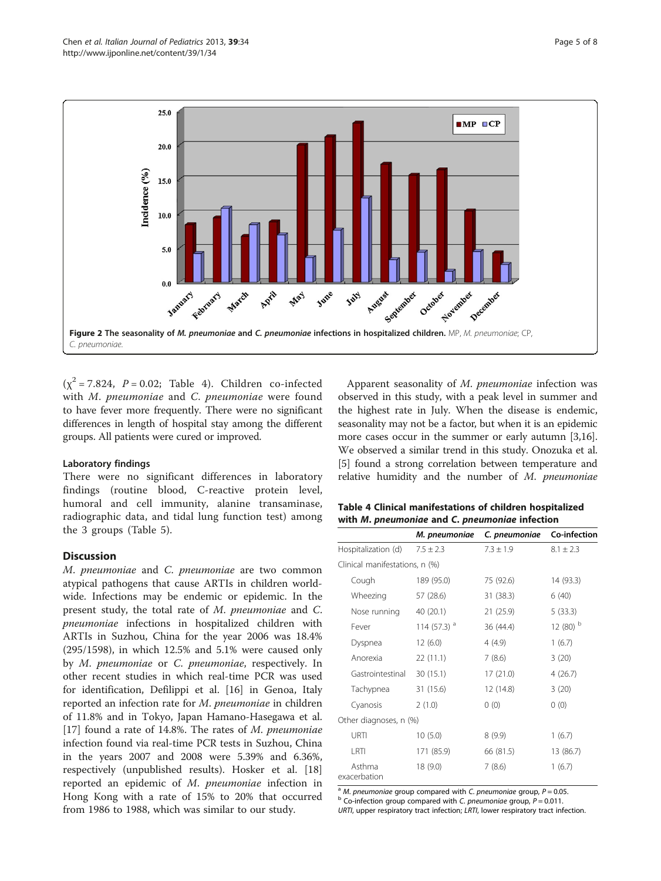<span id="page-4-0"></span>

 $(\chi^2 = 7.824, P = 0.02;$  Table 4). Children co-infected with M. pneumoniae and C. pneumoniae were found to have fever more frequently. There were no significant differences in length of hospital stay among the different groups. All patients were cured or improved.

#### Laboratory findings

There were no significant differences in laboratory findings (routine blood, C-reactive protein level, humoral and cell immunity, alanine transaminase, radiographic data, and tidal lung function test) among the 3 groups (Table [5\)](#page-5-0).

# **Discussion**

M. pneumoniae and C. pneumoniae are two common atypical pathogens that cause ARTIs in children worldwide. Infections may be endemic or epidemic. In the present study, the total rate of M. pneumoniae and C. pneumoniae infections in hospitalized children with ARTIs in Suzhou, China for the year 2006 was 18.4% (295/1598), in which 12.5% and 5.1% were caused only by M. pneumoniae or C. pneumoniae, respectively. In other recent studies in which real-time PCR was used for identification, Defilippi et al. [\[16](#page-6-0)] in Genoa, Italy reported an infection rate for M. pneumoniae in children of 11.8% and in Tokyo, Japan Hamano-Hasegawa et al. [[17\]](#page-6-0) found a rate of 14.8%. The rates of  $M$ . *pneumoniae* infection found via real-time PCR tests in Suzhou, China in the years 2007 and 2008 were 5.39% and 6.36%, respectively (unpublished results). Hosker et al. [[18](#page-6-0)] reported an epidemic of M. pneumoniae infection in Hong Kong with a rate of 15% to 20% that occurred from 1986 to 1988, which was similar to our study.

Apparent seasonality of M. pneumoniae infection was observed in this study, with a peak level in summer and the highest rate in July. When the disease is endemic, seasonality may not be a factor, but when it is an epidemic more cases occur in the summer or early autumn [[3,16](#page-6-0)]. We observed a similar trend in this study. Onozuka et al. [[5\]](#page-6-0) found a strong correlation between temperature and relative humidity and the number of M. pneumoniae

| Table 4 Clinical manifestations of children hospitalized |  |
|----------------------------------------------------------|--|
| with M. pneumoniae and C. pneumoniae infection           |  |

|                                | M. pneumoniae  | C. pneumoniae | Co-infection          |
|--------------------------------|----------------|---------------|-----------------------|
| Hospitalization (d)            | $7.5 + 2.3$    | $7.3 \pm 1.9$ | $8.1 + 2.3$           |
| Clinical manifestations, n (%) |                |               |                       |
| Cough                          | 189 (95.0)     | 75 (92.6)     | 14 (93.3)             |
| Wheezing                       | 57 (28.6)      | 31 (38.3)     | 6(40)                 |
| Nose running                   | 40 (20.1)      | 21(25.9)      | 5(33.3)               |
| Fever                          | 114 (57.3) $a$ | 36 (44.4)     | $12(80)$ <sup>b</sup> |
| Dyspnea                        | 12(6.0)        | 4 (4.9)       | 1(6.7)                |
| Anorexia                       | 22(11.1)       | 7(8.6)        | 3(20)                 |
| Gastrointestinal               | 30(15.1)       | 17 (21.0)     | 4(26.7)               |
| Tachypnea                      | 31 (15.6)      | 12 (14.8)     | 3(20)                 |
| Cyanosis                       | 2(1.0)         | 0(0)          | 0(0)                  |
| Other diagnoses, n (%)         |                |               |                       |
| URTI                           | 10(5.0)        | 8(9.9)        | 1(6.7)                |
| I RTI                          | 171 (85.9)     | 66 (81.5)     | 13 (86.7)             |
| Asthma<br>exacerbation         | 18 (9.0)       | 7(8.6)        | 1(6.7)                |

<sup>a</sup> M. pneumoniae group compared with C. pneumoniae group,  $P = 0.05$ .<br><sup>b</sup> Co-infection group compared with C. pneumoniae group, P = 0.011. URTI, upper respiratory tract infection; LRTI, lower respiratory tract infection.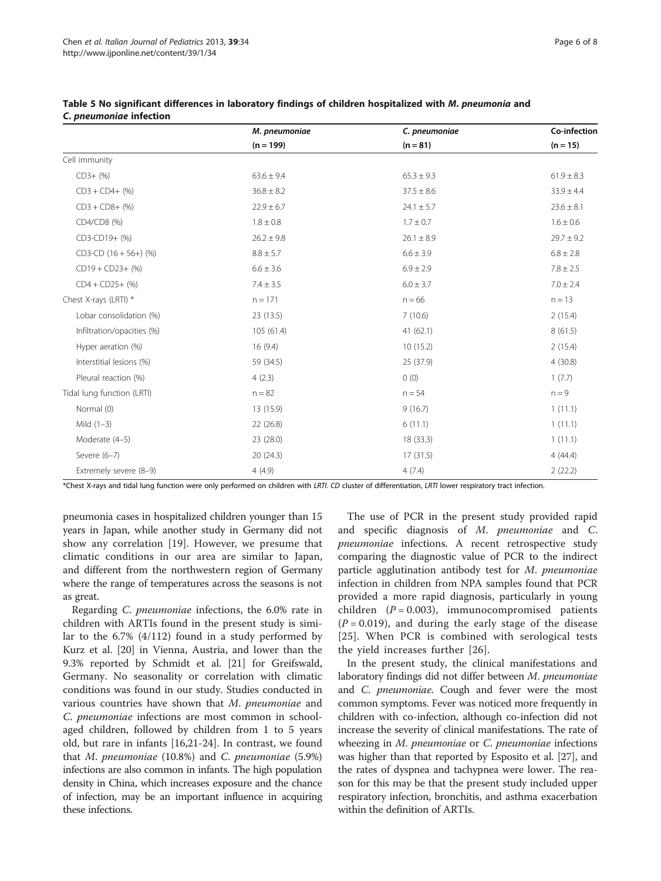|  | Page 6 of 8 |  |  |  |
|--|-------------|--|--|--|
|--|-------------|--|--|--|

|                            | M. pneumoniae  | C. pneumoniae  | Co-infection   |
|----------------------------|----------------|----------------|----------------|
|                            | $(n = 199)$    | $(n = 81)$     | $(n = 15)$     |
| Cell immunity              |                |                |                |
| $CD3+$ (%)                 | $63.6 \pm 9.4$ | $65.3 \pm 9.3$ | $61.9 \pm 8.3$ |
| $CD3 + CD4 + (%)$          | $36.8 \pm 8.2$ | $37.5 \pm 8.6$ | $33.9 \pm 4.4$ |
| $CD3 + CD8 +$ (%)          | $22.9 \pm 6.7$ | $24.1\pm5.7$   | $23.6 \pm 8.1$ |
| CD4/CD8 (%)                | $1.8 \pm 0.8$  | $1.7 \pm 0.7$  | $1.6 \pm 0.6$  |
| CD3-CD19+ (%)              | $26.2 \pm 9.8$ | $26.1 \pm 8.9$ | $29.7 \pm 9.2$ |
| $CD3$ -CD $(16 + 56+)$ (%) | $8.8 \pm 5.7$  | $6.6 \pm 3.9$  | $6.8 \pm 2.8$  |
| $CD19 + CD23 + (%)$        | $6.6 \pm 3.6$  | $6.9 \pm 2.9$  | $7.8 \pm 2.5$  |
| $CD4 + CD25 + (%)$         | $7.4 \pm 3.5$  | $6.0 \pm 3.7$  | $7.0 \pm 2.4$  |
| Chest X-rays (LRTI) *      | $n = 171$      | $n = 66$       | $n = 13$       |
| Lobar consolidation (%)    | 23 (13.5)      | 7(10.6)        | 2(15.4)        |
| Infiltration/opacities (%) | 105(61.4)      | 41(62.1)       | 8(61.5)        |
| Hyper aeration (%)         | 16(9.4)        | 10(15.2)       | 2(15.4)        |
| Interstitial lesions (%)   | 59 (34.5)      | 25 (37.9)      | 4(30.8)        |
| Pleural reaction (%)       | 4(2.3)         | 0(0)           | 1(7.7)         |
| Tidal lung function (LRTI) | $n = 82$       | $n = 54$       | $n = 9$        |
| Normal (0)                 | 13 (15.9)      | 9(16.7)        | 1(11.1)        |
| Mild $(1-3)$               | 22 (26.8)      | 6(11.1)        | 1(11.1)        |
| Moderate (4-5)             | 23 (28.0)      | 18 (33.3)      | 1(11.1)        |
| Severe (6-7)               | 20(24.3)       | 17(31.5)       | 4(44.4)        |
| Extremely severe (8-9)     | 4(4.9)         | 4(7.4)         | 2(22.2)        |

<span id="page-5-0"></span>Table 5 No significant differences in laboratory findings of children hospitalized with M. pneumonia and C. pneumoniae infection

\*Chest X-rays and tidal lung function were only performed on children with LRTI. CD cluster of differentiation, LRTI lower respiratory tract infection.

pneumonia cases in hospitalized children younger than 15 years in Japan, while another study in Germany did not show any correlation [[19\]](#page-6-0). However, we presume that climatic conditions in our area are similar to Japan, and different from the northwestern region of Germany where the range of temperatures across the seasons is not as great.

Regarding C. pneumoniae infections, the 6.0% rate in children with ARTIs found in the present study is similar to the 6.7% (4/112) found in a study performed by Kurz et al. [[20](#page-7-0)] in Vienna, Austria, and lower than the 9.3% reported by Schmidt et al. [[21](#page-7-0)] for Greifswald, Germany. No seasonality or correlation with climatic conditions was found in our study. Studies conducted in various countries have shown that M. pneumoniae and C. pneumoniae infections are most common in schoolaged children, followed by children from 1 to 5 years old, but rare in infants [\[16](#page-6-0)[,21-24](#page-7-0)]. In contrast, we found that  $M$ . pneumoniae (10.8%) and  $C$ . pneumoniae (5.9%) infections are also common in infants. The high population density in China, which increases exposure and the chance of infection, may be an important influence in acquiring these infections.

The use of PCR in the present study provided rapid and specific diagnosis of M. pneumoniae and C. pneumoniae infections. A recent retrospective study comparing the diagnostic value of PCR to the indirect particle agglutination antibody test for M. pneumoniae infection in children from NPA samples found that PCR provided a more rapid diagnosis, particularly in young children  $(P = 0.003)$ , immunocompromised patients  $(P = 0.019)$ , and during the early stage of the disease [[25](#page-7-0)]. When PCR is combined with serological tests the yield increases further [[26\]](#page-7-0).

In the present study, the clinical manifestations and laboratory findings did not differ between M. pneumoniae and *C. pneumoniae*. Cough and fever were the most common symptoms. Fever was noticed more frequently in children with co-infection, although co-infection did not increase the severity of clinical manifestations. The rate of wheezing in M. pneumoniae or C. pneumoniae infections was higher than that reported by Esposito et al. [[27](#page-7-0)], and the rates of dyspnea and tachypnea were lower. The reason for this may be that the present study included upper respiratory infection, bronchitis, and asthma exacerbation within the definition of ARTIs.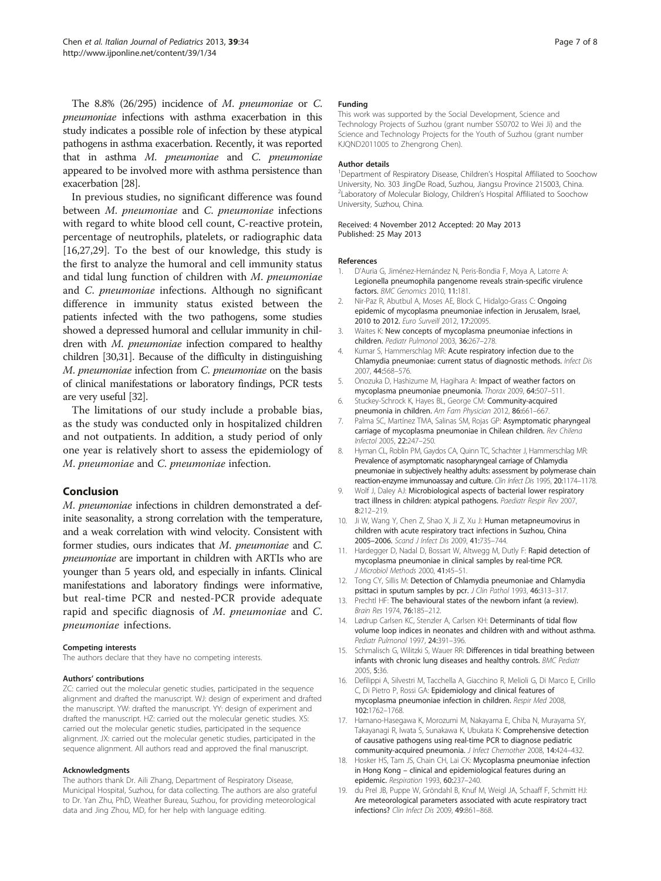<span id="page-6-0"></span>The 8.8% (26/295) incidence of M. pneumoniae or C. pneumoniae infections with asthma exacerbation in this study indicates a possible role of infection by these atypical pathogens in asthma exacerbation. Recently, it was reported that in asthma M. pneumoniae and C. pneumoniae appeared to be involved more with asthma persistence than exacerbation [\[28](#page-7-0)].

In previous studies, no significant difference was found between M. pneumoniae and C. pneumoniae infections with regard to white blood cell count, C-reactive protein, percentage of neutrophils, platelets, or radiographic data [16,[27,29\]](#page-7-0). To the best of our knowledge, this study is the first to analyze the humoral and cell immunity status and tidal lung function of children with M. pneumoniae and C. pneumoniae infections. Although no significant difference in immunity status existed between the patients infected with the two pathogens, some studies showed a depressed humoral and cellular immunity in children with M. pneumoniae infection compared to healthy children [\[30,31](#page-7-0)]. Because of the difficulty in distinguishing M. pneumoniae infection from C. pneumoniae on the basis of clinical manifestations or laboratory findings, PCR tests are very useful [\[32](#page-7-0)].

The limitations of our study include a probable bias, as the study was conducted only in hospitalized children and not outpatients. In addition, a study period of only one year is relatively short to assess the epidemiology of M. pneumoniae and C. pneumoniae infection.

#### Conclusion

M. pneumoniae infections in children demonstrated a definite seasonality, a strong correlation with the temperature, and a weak correlation with wind velocity. Consistent with former studies, ours indicates that M. pneumoniae and C. pneumoniae are important in children with ARTIs who are younger than 5 years old, and especially in infants. Clinical manifestations and laboratory findings were informative, but real-time PCR and nested-PCR provide adequate rapid and specific diagnosis of M. pneumoniae and C. pneumoniae infections.

#### Competing interests

The authors declare that they have no competing interests.

#### Authors' contributions

ZC: carried out the molecular genetic studies, participated in the sequence alignment and drafted the manuscript. WJ: design of experiment and drafted the manuscript. YW: drafted the manuscript. YY: design of experiment and drafted the manuscript. HZ: carried out the molecular genetic studies. XS: carried out the molecular genetic studies, participated in the sequence alignment. JX: carried out the molecular genetic studies, participated in the sequence alignment. All authors read and approved the final manuscript.

#### Acknowledgments

The authors thank Dr. Aili Zhang, Department of Respiratory Disease, Municipal Hospital, Suzhou, for data collecting. The authors are also grateful to Dr. Yan Zhu, PhD, Weather Bureau, Suzhou, for providing meteorological data and Jing Zhou, MD, for her help with language editing.

#### Funding

This work was supported by the Social Development, Science and Technology Projects of Suzhou (grant number SS0702 to Wei Ji) and the Science and Technology Projects for the Youth of Suzhou (grant number KJQND2011005 to Zhengrong Chen).

#### Author details

<sup>1</sup>Department of Respiratory Disease, Children's Hospital Affiliated to Soochow University, No. 303 JingDe Road, Suzhou, Jiangsu Province 215003, China. <sup>2</sup> Laboratory of Molecular Biology, Children's Hospital Affiliated to Soochow University, Suzhou, China.

Received: 4 November 2012 Accepted: 20 May 2013 Published: 25 May 2013

#### References

- 1. D'Auria G, Jiménez-Hernández N, Peris-Bondia F, Moya A, Latorre A: Legionella pneumophila pangenome reveals strain-specific virulence factors. BMC Genomics 2010, 11:181.
- 2. Nir-Paz R, Abutbul A, Moses AE, Block C, Hidalgo-Grass C: Ongoing epidemic of mycoplasma pneumoniae infection in Jerusalem, Israel, 2010 to 2012. Furo Surveill 2012, 17:20095.
- 3. Waites K: New concepts of mycoplasma pneumoniae infections in children. Pediatr Pulmonol 2003, 36:267–278.
- 4. Kumar S, Hammerschlag MR: Acute respiratory infection due to the Chlamydia pneumoniae: current status of diagnostic methods. Infect Dis 2007, 44:568–576.
- 5. Onozuka D, Hashizume M, Hagihara A: Impact of weather factors on mycoplasma pneumoniae pneumonia. Thorax 2009, 64:507–511.
- 6. Stuckey-Schrock K, Hayes BL, George CM: Community-acquired pneumonia in children. Am Fam Physician 2012, 86:661–667.
- 7. Palma SC, Martínez TMA, Salinas SM, Rojas GP: Asymptomatic pharyngeal carriage of mycoplasma pneumoniae in Chilean children. Rev Chilena Infectol 2005, 22:247–250.
- 8. Hyman CL, Roblin PM, Gaydos CA, Quinn TC, Schachter J, Hammerschlag MR: Prevalence of asymptomatic nasopharyngeal carriage of Chlamydia pneumoniae in subjectively healthy adults: assessment by polymerase chain reaction-enzyme immunoassay and culture. Clin Infect Dis 1995, 20:1174–1178.
- 9. Wolf J, Daley AJ: Microbiological aspects of bacterial lower respiratory tract illness in children: atypical pathogens. Paediatr Respir Rev 2007, 8:212–219.
- 10. Ji W, Wang Y, Chen Z, Shao X, Ji Z, Xu J: Human metapneumovirus in children with acute respiratory tract infections in Suzhou, China 2005–2006. Scand J Infect Dis 2009, 41:735–744.
- 11. Hardegger D, Nadal D, Bossart W, Altwegg M, Dutly F: Rapid detection of mycoplasma pneumoniae in clinical samples by real-time PCR. J Microbiol Methods 2000, 41:45–51.
- 12. Tong CY, Sillis M: Detection of Chlamydia pneumoniae and Chlamydia psittaci in sputum samples by pcr. J Clin Pathol 1993, 46:313-317.
- 13. Prechtl HF: The behavioural states of the newborn infant (a review). Brain Res 1974, 76:185–212.
- 14. Lødrup Carlsen KC, Stenzler A, Carlsen KH: Determinants of tidal flow volume loop indices in neonates and children with and without asthma. Pediatr Pulmonol 1997, 24:391–396.
- 15. Schmalisch G, Wilitzki S, Wauer RR: Differences in tidal breathing between infants with chronic lung diseases and healthy controls. BMC Pediatr 2005, 5:36.
- 16. Defilippi A, Silvestri M, Tacchella A, Giacchino R, Melioli G, Di Marco E, Cirillo C, Di Pietro P, Rossi GA: Epidemiology and clinical features of mycoplasma pneumoniae infection in children. Respir Med 2008, 102:1762–1768.
- 17. Hamano-Hasegawa K, Morozumi M, Nakayama E, Chiba N, Murayama SY, Takayanagi R, Iwata S, Sunakawa K, Ubukata K: Comprehensive detection of causative pathogens using real-time PCR to diagnose pediatric community-acquired pneumonia. J Infect Chemother 2008, 14:424–432.
- 18. Hosker HS, Tam JS, Chain CH, Lai CK: Mycoplasma pneumoniae infection in Hong Kong – clinical and epidemiological features during an epidemic. Respiration 1993, 60:237–240.
- 19. du Prel JB, Puppe W, Gröndahl B, Knuf M, Weigl JA, Schaaff F, Schmitt HJ: Are meteorological parameters associated with acute respiratory tract infections? Clin Infect Dis 2009, 49:861–868.